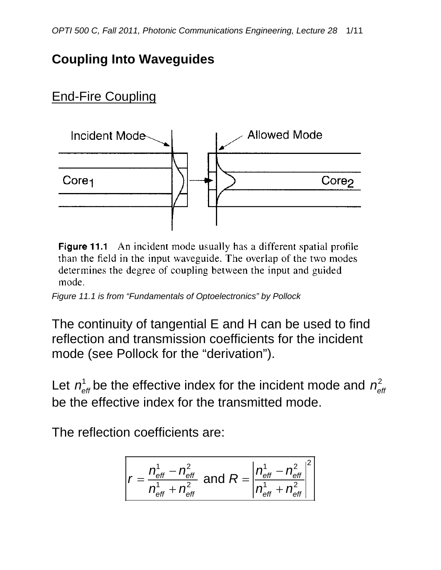## **Coupling Into Waveguides**

# End-Fire Coupling



**Figure 11.1** An incident mode usually has a different spatial profile than the field in the input waveguide. The overlap of the two modes determines the degree of coupling between the input and guided mode.

*Figure 11.1 is from "Fundamentals of Optoelectronics" by Pollock*

The continuity of tangential E and H can be used to find reflection and transmission coefficients for the incident mode (see Pollock for the "derivation").

Let  $n_{\text{eff}}^1$  be the effective index for the incident mode and  $n_{\text{eff}}^2$ be the effective index for the transmitted mode.

The reflection coefficients are:

$$
r = \frac{n_{\text{eff}}^1 - n_{\text{eff}}^2}{n_{\text{eff}}^1 + n_{\text{eff}}^2} \text{ and } R = \left| \frac{n_{\text{eff}}^1 - n_{\text{eff}}^2}{n_{\text{eff}}^1 + n_{\text{eff}}^2} \right|^2
$$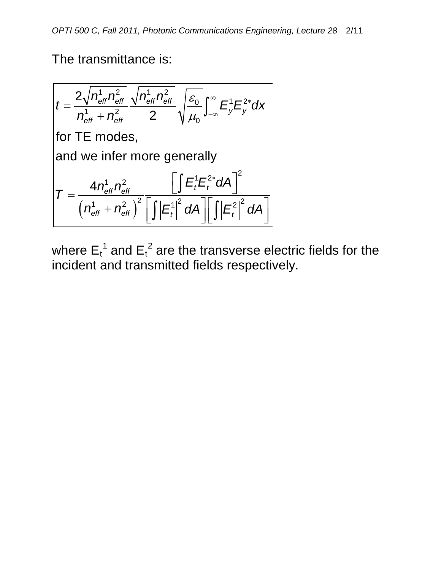The transmittance is:

$$
t = \frac{2\sqrt{n_{\text{eff}}^1 n_{\text{eff}}^2} \sqrt{n_{\text{eff}}^1 n_{\text{eff}}^2}}{n_{\text{eff}}^1 + n_{\text{eff}}^2} \sqrt{\frac{\varepsilon_0}{\mu_0}} \int_{-\infty}^{\infty} E_y^1 E_y^{2*} dx
$$
  
for TE modes,  
and we infer more generally  

$$
T = \frac{4n_{\text{eff}}^1 n_{\text{eff}}^2}{\left(n_{\text{eff}}^1 + n_{\text{eff}}^2\right)^2} \frac{\left[\int E_t^1 E_t^{2*} dA\right]^2}{\left[\int |E_t^1|^2 dA\right] \left[\int |E_t^2|^2 dA\right]}
$$

where  $E_t^1$  and  $E_t^2$  are the transverse electric fields for the incident and transmitted fields respectively.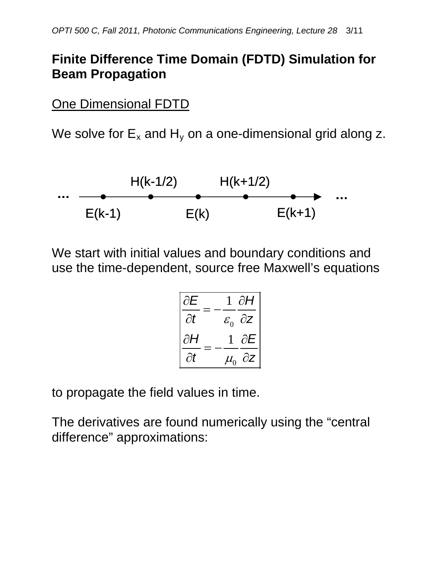## **Finite Difference Time Domain (FDTD) Simulation for Beam Propagation**

One Dimensional FDTD

We solve for  $E_x$  and  $H_y$  on a one-dimensional grid along z.



We start with initial values and boundary conditions and use the time-dependent, source free Maxwell's equations

$$
\begin{vmatrix}\n\frac{\partial E}{\partial t} = -\frac{1}{\varepsilon_0} \frac{\partial H}{\partial z} \\
\frac{\partial H}{\partial t} = -\frac{1}{\mu_0} \frac{\partial E}{\partial z}\n\end{vmatrix}
$$

to propagate the field values in time.

The derivatives are found numerically using the "central difference" approximations: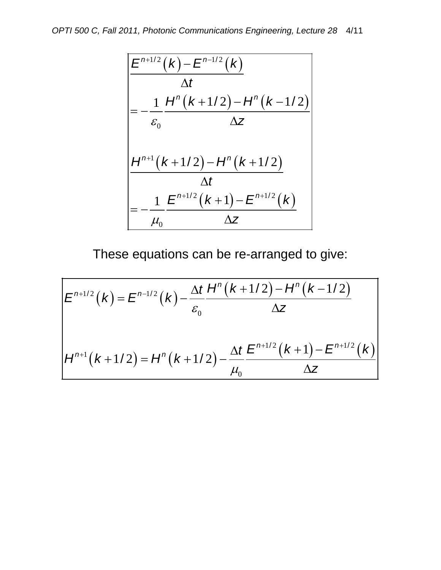$$
\frac{E^{n+1/2}(k) - E^{n-1/2}(k)}{\Delta t}
$$
\n
$$
= -\frac{1}{\varepsilon_0} \frac{H^n(k+1/2) - H^n(k-1/2)}{\Delta z}
$$
\n
$$
\frac{H^{n+1}(k+1/2) - H^n(k+1/2)}{\Delta t}
$$
\n
$$
= -\frac{1}{\mu_0} \frac{E^{n+1/2}(k+1) - E^{n+1/2}(k)}{\Delta z}
$$

These equations can be re-arranged to give:

$$
E^{n+1/2}(k) = E^{n-1/2}(k) - \frac{\Delta t}{\varepsilon_0} \frac{H^n(k+1/2) - H^n(k-1/2)}{\Delta z}
$$
  

$$
H^{n+1}(k+1/2) = H^n(k+1/2) - \frac{\Delta t}{\mu_0} \frac{E^{n+1/2}(k+1) - E^{n+1/2}(k)}{\Delta z}
$$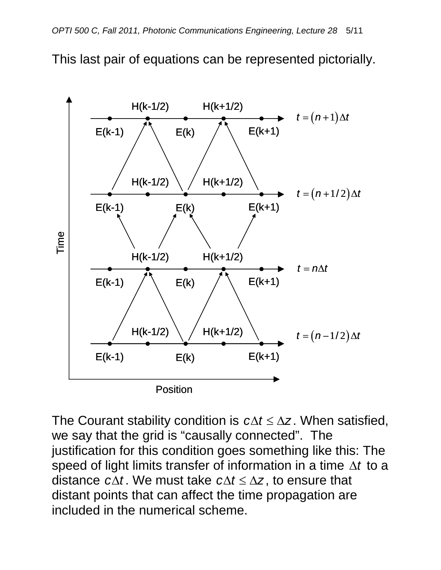This last pair of equations can be represented pictorially.



The Courant stability condition is  $c\Delta t \leq \Delta z$ . When satisfied, we say that the grid is "causally connected". The justification for this condition goes something like this: The speed of light limits transfer of information in a time ∆*t* to a distance  $c\Delta t$ . We must take  $c\Delta t \leq \Delta z$ , to ensure that distant points that can affect the time propagation are included in the numerical scheme.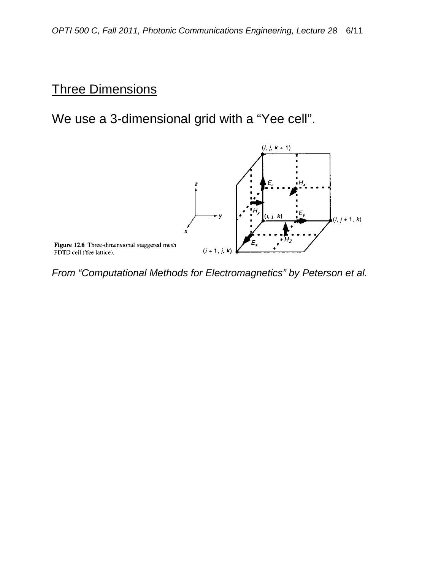#### Three Dimensions

We use a 3-dimensional grid with a "Yee cell".



*From "Computational Methods for Electromagnetics" by Peterson et al.*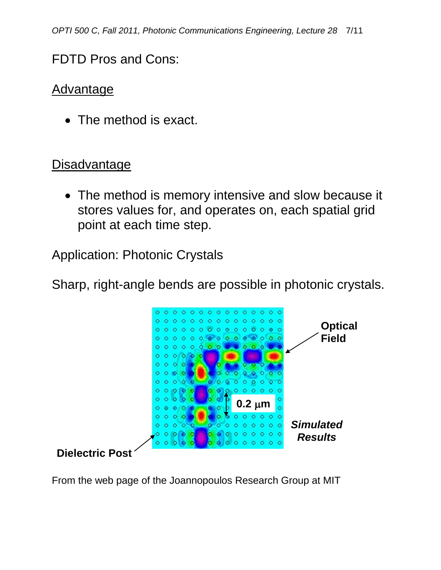## FDTD Pros and Cons:

#### **Advantage**

• The method is exact.

## **Disadvantage**

• The method is memory intensive and slow because it stores values for, and operates on, each spatial grid point at each time step.

Application: Photonic Crystals

Sharp, right-angle bends are possible in photonic crystals.



From the web page of the Joannopoulos Research Group at MIT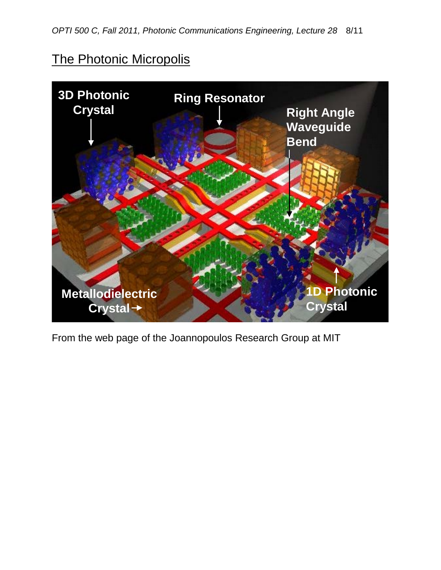## The Photonic Micropolis



From the web page of the Joannopoulos Research Group at MIT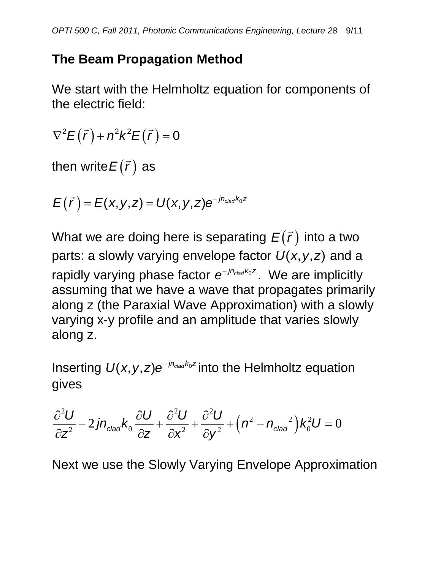# **The Beam Propagation Method**

We start with the Helmholtz equation for components of the electric field:

 $\nabla^2 E(\vec{r}) + n^2 k^2 E(\vec{r}) = 0$ 

then write $E(\vec r)$  as

 $(E(\vec{r}) = E(x,y,z) = U(x,y,z)e^{-jn_{clad}k_0z}$ 

What we are doing here is separating  $E(\vec r)$  into a two parts: a slowly varying envelope factor  $U(x, y, z)$  and a rapidly varying phase factor  $e^{-jn_{\text{c}}/k_0 z}$ . We are implicitly assuming that we have a wave that propagates primarily along z (the Paraxial Wave Approximation) with a slowly varying x-y profile and an amplitude that varies slowly along z.

Inserting  $U(x, y, z)e^{-jn_{clad}k_0 z}$  into the Helmholtz equation gives

$$
\frac{\partial^2 U}{\partial z^2} - 2jn_{\text{clad}}k_0 \frac{\partial U}{\partial z} + \frac{\partial^2 U}{\partial x^2} + \frac{\partial^2 U}{\partial y^2} + (n^2 - n_{\text{clad}}^2)k_0^2 U = 0
$$

Next we use the Slowly Varying Envelope Approximation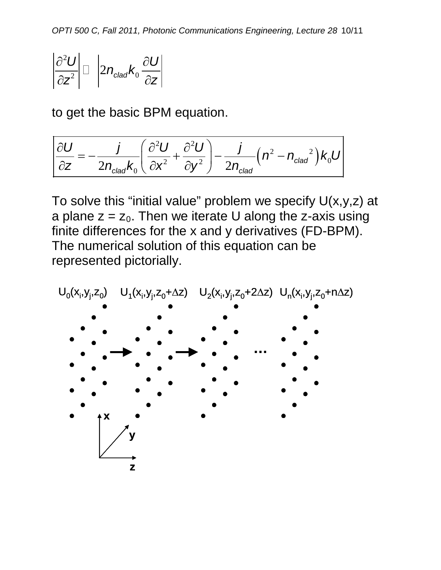$$
\left|\frac{\partial^2 U}{\partial z^2}\right|\Box\left|2n_{\text{clad}}k_0\frac{\partial U}{\partial z}\right|
$$

to get the basic BPM equation.

$$
\frac{\partial U}{\partial z} = -\frac{j}{2n_{clad}k_0} \left( \frac{\partial^2 U}{\partial x^2} + \frac{\partial^2 U}{\partial y^2} \right) - \frac{j}{2n_{clad}} \left( n^2 - n_{clad}^2 \right) k_0 U
$$

To solve this "initial value" problem we specify  $U(x,y,z)$  at a plane  $z = z_0$ . Then we iterate U along the z-axis using finite differences for the x and y derivatives (FD-BPM). The numerical solution of this equation can be represented pictorially.